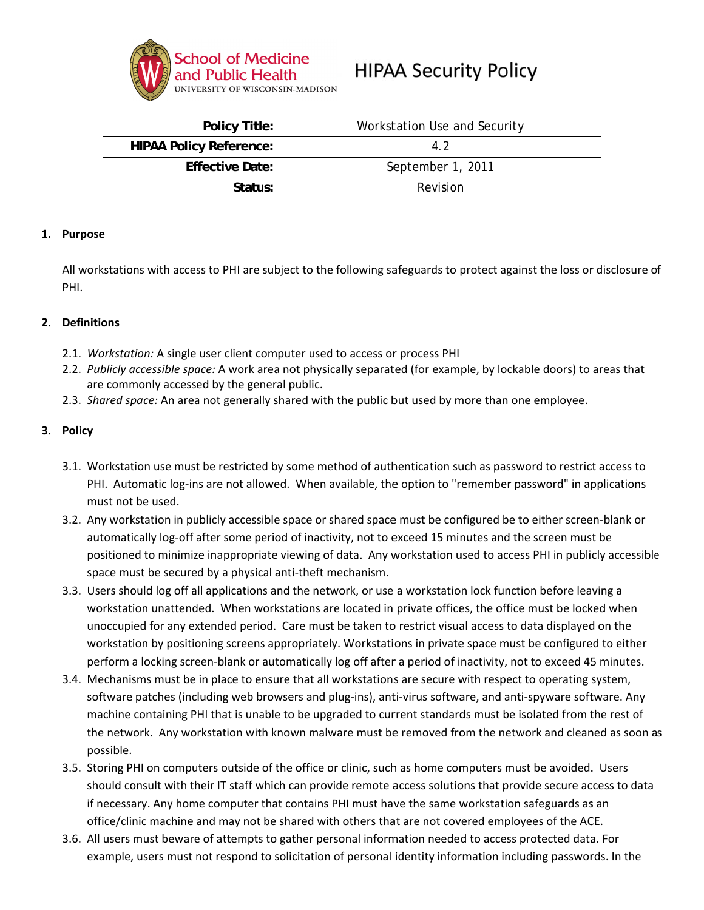

# **HIPAA Security Policy**

| <b>Policy Title:</b>           | Workstation Use and Security |
|--------------------------------|------------------------------|
| <b>HIPAA Policy Reference:</b> | 4.2                          |
| <b>Effective Date:</b>         | September 1, 2011            |
| Status:                        | Revision                     |

#### 1. Purpose

All workstations with access to PHI are subject to the following safeguards to protect against the loss or disclosure of PHI.

#### 2. Definitions

- 2.1. Workstation: A single user client computer used to access or process PHI
- 2.2. Publicly accessible space: A work area not physically separated (for example, by lockable doors) to areas that are commonly accessed by the general public.
- 2.3. Shared space: An area not generally shared with the public but used by more than one employee.

#### 3. Policy

- 3.1. Workstation use must be restricted by some method of authentication such as password to restrict access to PHI. Automatic log-ins are not allowed. When available, the option to "remember password" in applications must not be used.
- 3.2. Any workstation in publicly accessible space or shared space must be configured be to either screen-blank or automatically log-off after some period of inactivity, not to exceed 15 minutes and the screen must be positioned to minimize inappropriate viewing of data. Any workstation used to access PHI in publicly accessible space must be secured by a physical anti-theft mechanism.
- 3.3. Users should log off all applications and the network, or use a workstation lock function before leaving a workstation unattended. When workstations are located in private offices, the office must be locked when unoccupied for any extended period. Care must be taken to restrict visual access to data displayed on the workstation by positioning screens appropriately. Workstations in private space must be configured to either perform a locking screen-blank or automatically log off after a period of inactivity, not to exceed 45 minutes.
- 3.4. Mechanisms must be in place to ensure that all workstations are secure with respect to operating system, software patches (including web browsers and plug-ins), anti-virus software, and anti-spyware software. Any machine containing PHI that is unable to be upgraded to current standards must be isolated from the rest of the network. Any workstation with known malware must be removed from the network and cleaned as soon as possible.
- 3.5. Storing PHI on computers outside of the office or clinic, such as home computers must be avoided. Users should consult with their IT staff which can provide remote access solutions that provide secure access to data if necessary. Any home computer that contains PHI must have the same workstation safeguards as an office/clinic machine and may not be shared with others that are not covered employees of the ACE.
- 3.6. All users must beware of attempts to gather personal information needed to access protected data. For example, users must not respond to solicitation of personal identity information including passwords. In the